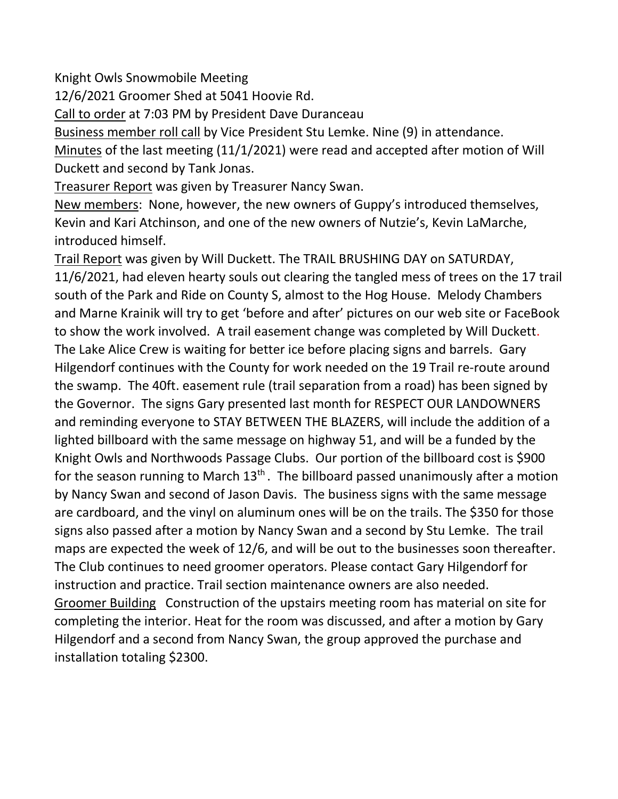Knight Owls Snowmobile Meeting

12/6/2021 Groomer Shed at 5041 Hoovie Rd.

Call to order at 7:03 PM by President Dave Duranceau

Business member roll call by Vice President Stu Lemke. Nine (9) in attendance. Minutes of the last meeting (11/1/2021) were read and accepted after motion of Will Duckett and second by Tank Jonas.

Treasurer Report was given by Treasurer Nancy Swan.

New members: None, however, the new owners of Guppy's introduced themselves, Kevin and Kari Atchinson, and one of the new owners of Nutzie's, Kevin LaMarche, introduced himself.

Trail Report was given by Will Duckett. The TRAIL BRUSHING DAY on SATURDAY, 11/6/2021, had eleven hearty souls out clearing the tangled mess of trees on the 17 trail south of the Park and Ride on County S, almost to the Hog House. Melody Chambers and Marne Krainik will try to get 'before and after' pictures on our web site or FaceBook to show the work involved. A trail easement change was completed by Will Duckett. The Lake Alice Crew is waiting for better ice before placing signs and barrels. Gary Hilgendorf continues with the County for work needed on the 19 Trail re-route around the swamp. The 40ft. easement rule (trail separation from a road) has been signed by the Governor. The signs Gary presented last month for RESPECT OUR LANDOWNERS and reminding everyone to STAY BETWEEN THE BLAZERS, will include the addition of a lighted billboard with the same message on highway 51, and will be a funded by the Knight Owls and Northwoods Passage Clubs. Our portion of the billboard cost is \$900 for the season running to March  $13<sup>th</sup>$ . The billboard passed unanimously after a motion by Nancy Swan and second of Jason Davis. The business signs with the same message are cardboard, and the vinyl on aluminum ones will be on the trails. The \$350 for those signs also passed after a motion by Nancy Swan and a second by Stu Lemke. The trail maps are expected the week of 12/6, and will be out to the businesses soon thereafter. The Club continues to need groomer operators. Please contact Gary Hilgendorf for instruction and practice. Trail section maintenance owners are also needed. Groomer Building Construction of the upstairs meeting room has material on site for completing the interior. Heat for the room was discussed, and after a motion by Gary Hilgendorf and a second from Nancy Swan, the group approved the purchase and installation totaling \$2300.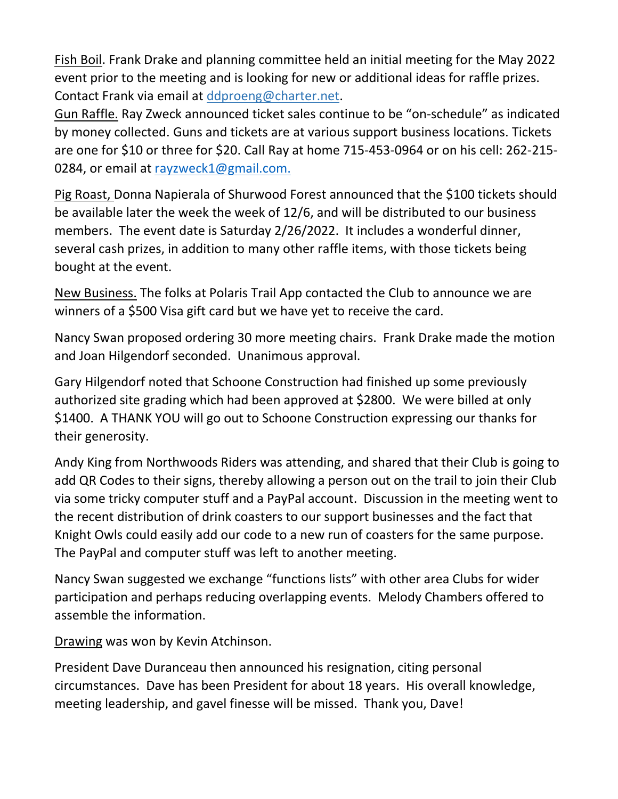Fish Boil. Frank Drake and planning committee held an initial meeting for the May 2022 event prior to the meeting and is looking for new or additional ideas for raffle prizes. Contact Frank via email at ddproeng@charter.net.

Gun Raffle. Ray Zweck announced ticket sales continue to be "on-schedule" as indicated by money collected. Guns and tickets are at various support business locations. Tickets are one for \$10 or three for \$20. Call Ray at home 715-453-0964 or on his cell: 262-215- 0284, or email at [rayzweck1@gmail.com.](mailto:rayzweck1@gmail.com)

Pig Roast, Donna Napierala of Shurwood Forest announced that the \$100 tickets should be available later the week the week of 12/6, and will be distributed to our business members. The event date is Saturday 2/26/2022. It includes a wonderful dinner, several cash prizes, in addition to many other raffle items, with those tickets being bought at the event.

New Business. The folks at Polaris Trail App contacted the Club to announce we are winners of a \$500 Visa gift card but we have yet to receive the card.

Nancy Swan proposed ordering 30 more meeting chairs. Frank Drake made the motion and Joan Hilgendorf seconded. Unanimous approval.

Gary Hilgendorf noted that Schoone Construction had finished up some previously authorized site grading which had been approved at \$2800. We were billed at only \$1400. A THANK YOU will go out to Schoone Construction expressing our thanks for their generosity.

Andy King from Northwoods Riders was attending, and shared that their Club is going to add QR Codes to their signs, thereby allowing a person out on the trail to join their Club via some tricky computer stuff and a PayPal account. Discussion in the meeting went to the recent distribution of drink coasters to our support businesses and the fact that Knight Owls could easily add our code to a new run of coasters for the same purpose. The PayPal and computer stuff was left to another meeting.

Nancy Swan suggested we exchange "functions lists" with other area Clubs for wider participation and perhaps reducing overlapping events. Melody Chambers offered to assemble the information.

Drawing was won by Kevin Atchinson.

President Dave Duranceau then announced his resignation, citing personal circumstances. Dave has been President for about 18 years. His overall knowledge, meeting leadership, and gavel finesse will be missed. Thank you, Dave!